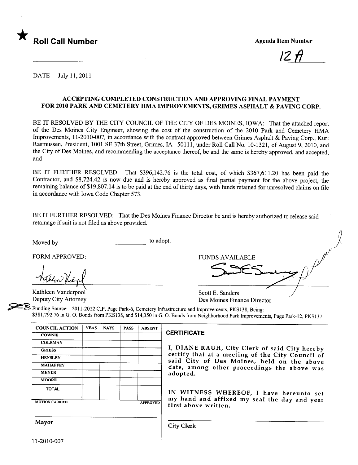

/2 fI

DATE July 11,2011

#### ACCEPTING COMPLETED CONSTRUCTION AND APPROVING FINAL PAYMENT FOR 2010 PARK AND CEMETERY HMA IMPROVEMENTS, GRIMES ASPHALT & PAVING CORP.

BE IT RESOLVED BY THE CITY COUNCIL OF THE CITY OF DES MOINES, IOWA: That the attached report of the Des Moines City Engineer, showing the cost of the construction of the 2010 Park and Cemetery HMA Improvements, 11-2010-007, in accordance with the contract approved between Grimes Asphalt & Paving Corp., Kurt Rasmussen, President, 1001 SE 37th Street, Grimes, IA 50111, under Roll Call No. 10-1321, of August 9,2010, and the City of Des Moines, and recommending the acceptance thereof, be and the same is hereby approved, and accepted, and

BE IT FURTHER RESOLVED: That \$396,142.76 is the total cost, of which \$367,611.20 has been paid the Contractor, and \$8,724.42 is now due and is hereby approved as final parial payment for the above project, the remaining balance of \$19,807.14 is to be paid at the end of thirty days, with funds retained for unresolved claims on file in accordance with Iowa Code Chapter 573.

BE IT FURTHER RESOLVED: That the Des Moines Finance Director be and is hereby authorized to release said retainage if suit is not fied as above provided.

Kathleen Vanderpool<br>Deputy City Attorney

| retainage if suit is not filed as above provided. |           |                        |  |
|---------------------------------------------------|-----------|------------------------|--|
| Moved by                                          | to adopt. |                        |  |
| FORM APPROVED:                                    |           | <b>FUNDS AVAILABLE</b> |  |
| hablow thegel                                     |           |                        |  |
| Kathleen Vanderpool                               |           | Scott E. Sanders       |  |

Des Moines Finance Director

Funding Source: 2011-2012 CIP, Page Park-6, Cemetery Infrastructure and Improvements, PKS138, Being: \$381,792.76 in G. O. Bonds from PKS138, and \$14,350 in G. O. Bonds from Neighborhood Park Improvements, Page Park-12, PKS137

| <b>COUNCIL ACTION</b> | <b>YEAS</b> | <b>NAYS</b> | <b>PASS</b> | <b>ABSENT</b>   |   |
|-----------------------|-------------|-------------|-------------|-----------------|---|
| <b>COWNIE</b>         |             |             |             |                 | г |
| <b>COLEMAN</b>        |             |             |             |                 |   |
| <b>GRIESS</b>         |             |             |             |                 |   |
| <b>HENSLEY</b>        |             |             |             |                 |   |
| <b>MAHAFFEY</b>       |             |             |             |                 |   |
| <b>MEYER</b>          |             |             |             |                 |   |
| <b>MOORE</b>          |             |             |             |                 |   |
| <b>TOTAL</b>          |             |             |             |                 |   |
|                       |             |             |             |                 |   |
| <b>MOTION CARRIED</b> |             |             |             | <b>APPROVED</b> |   |

#### CERTIFICATE

I, DIANE RAUH, City Clerk of said City hereby certify that at a meeting of the City Council of said City of Des Moines, held on the above<br>date, among other proceedings the above was adopted.

IN WITNESS WHEREOF, I have hereunto set my hand and affixed my seal the day and year<br>first above written.

Mayor Gity Clerk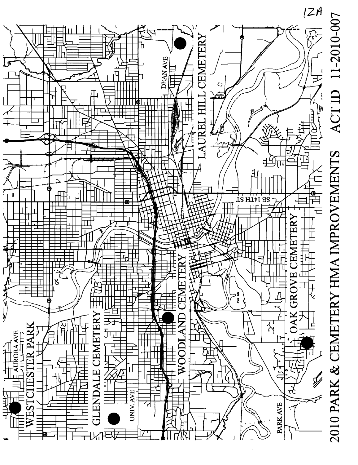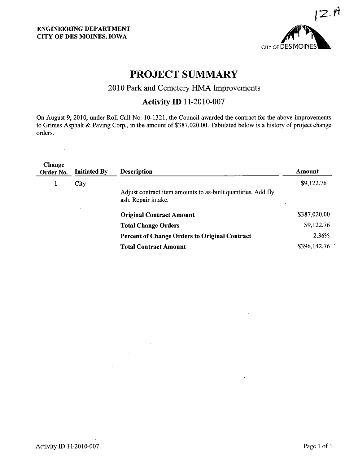$\ddot{\phantom{1}}$ 



## PROJECT SUMMARY

## 2010 Park and Cemetery HMA Improvements

### **Activity ID 11-2010-007**

On August 9, 2010, under Roll Call No. 10-1321, the Council awarded the contract for the above improvements to Grimes Asphalt & Paving Corp., in the amount of \$387,020.00. Tabulated below is a history of project change orders.

| Change<br>Order No. | <b>Initiated By</b> | <b>Description</b>                                                                  | Amount       |
|---------------------|---------------------|-------------------------------------------------------------------------------------|--------------|
| 1                   | City                |                                                                                     | \$9,122.76   |
|                     |                     | Adjust contract item amounts to as-built quantities. Add fly<br>ash. Repair intake. |              |
|                     |                     | <b>Original Contract Amount</b>                                                     | \$387,020.00 |
|                     |                     | <b>Total Change Orders</b>                                                          | \$9,122.76   |
|                     |                     | <b>Percent of Change Orders to Original Contract</b>                                | 2.36%        |
|                     |                     | <b>Total Contract Amount</b>                                                        | \$396,142.76 |
|                     |                     |                                                                                     |              |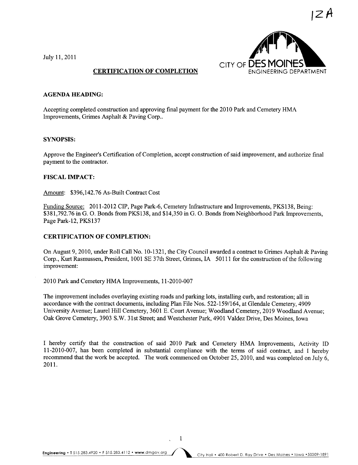July 11,2011



#### CERTIFICATION OF COMPLETION

#### AGENDA HEADING:

Accepting completed construction and approving final payment for the 2010 Park and Cemetery HMA Improvements, Grimes Asphalt & Paving Corp..

#### SYNOPSIS:

Approve the Engineer's Certification of Completion, accept construction of said improvement, and authorize final payment to the contractor.

#### FISCAL IMPACT:

Amount: \$396,142.76 As-Built Contract Cost

Funding Source: 2011-2012 CIP, Page Park-6, Cemetery Infrastructure and Improvements, PKS138, Being: \$381,792.76 in G. O. Bonds from PKS138, and \$14,350 in G. O. Bonds from Neighborhood Park Improvements, Page Park-12, PKS137

#### CERTIFICATION OF COMPLETION:

On August 9,2010, under Roll Call No. 10-1321, the City Council awarded a contract to Grimes Asphalt & Paving Corp., Kurt Rasmussen, President, 1001 SE 37th Street, Grimes, IA 50111 for the construction of the following improvement:

2010 Park and Cemetery HMA Improvements, 11-2010-007

The improvement includes overlaying existing roads and parking lots, installing curb, and restoration; all in accordance with the contract documents, including Plan File Nos. 522-159/164, at Glendale Cemetery, 4909 University Avenue; Laurel Hil Cemetery, 3601 E. Court Avenue; Woodland Cemetery, 2019 Woodland Avenue; Oak Grove Cemetery, 3903 S.W. 31st Street; and Westchester Park, 4901 Valdez Drive, Des Moines, Iowa

I hereby certify that the construction of said 2010 Park and Cemetery HMA Improvements, Activity ID 11-2010-007, has been completed in substantial compliance with the term of said contract, and I hereby recommend that the work be accepted. The work commenced on October 25,2010, and was completed on July 6, 2011.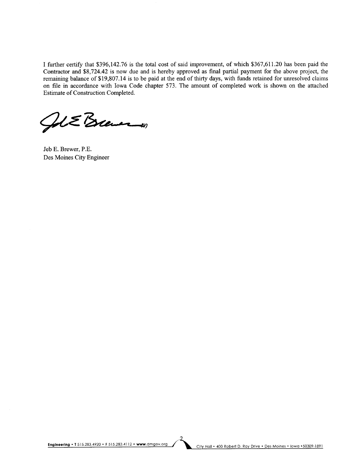I further certify that \$396,142.76 is the total cost of said improvement, of which \$367,611.20 has been paid the Contractor and \$8,724.42 is now due and is hereby approved as final partial payment for the above project, the remaining balance of \$19,807.14 is to be paid at the end of thirty days, with funds retained for unresolved claims on file in accordance with Iowa Code chapter 573. The amount of completed work is shown on the attached Estimate of Construction Completed.

ALE Brewer

Jeb E. Brewer, P.E. Des Moines City Engineer